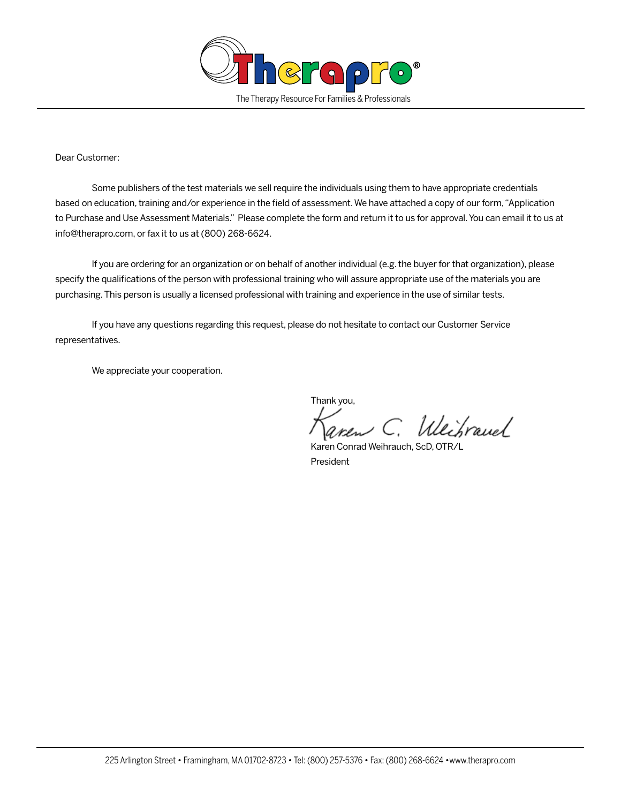

## Dear Customer:

Some publishers of the test materials we sell require the individuals using them to have appropriate credentials based on education, training and/or experience in the field of assessment. We have attached a copy of our form, "Application to Purchase and Use Assessment Materials." Please complete the form and return it to us for approval. You can email it to us at info@therapro.com, or fax it to us at (800) 268-6624.

If you are ordering for an organization or on behalf of another individual (e.g. the buyer for that organization), please specify the qualifications of the person with professional training who will assure appropriate use of the materials you are purchasing. This person is usually a licensed professional with training and experience in the use of similar tests.

If you have any questions regarding this request, please do not hesitate to contact our Customer Service representatives.

We appreciate your cooperation.

Thank you,

Weibrauch

 Karen Conrad Weihrauch, ScD, OTR/L President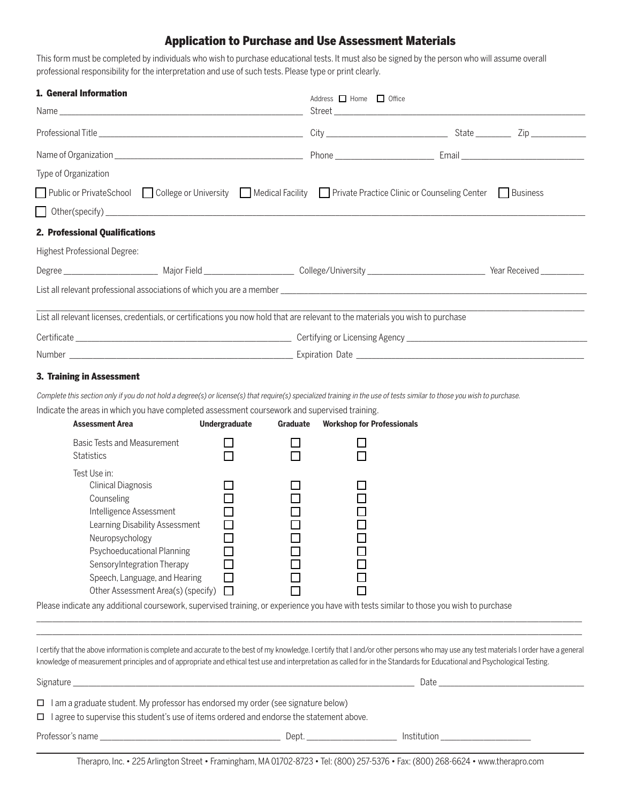## Application to Purchase and Use Assessment Materials

This form must be completed by individuals who wish to purchase educational tests. It must also be signed by the person who will assume overall professional responsibility for the interpretation and use of such tests. Please type or print clearly.

| 1. General Information              |  |                                                                                                                                 | Address Home 1 Office |  |  |  |
|-------------------------------------|--|---------------------------------------------------------------------------------------------------------------------------------|-----------------------|--|--|--|
|                                     |  |                                                                                                                                 |                       |  |  |  |
|                                     |  |                                                                                                                                 |                       |  |  |  |
| Type of Organization                |  |                                                                                                                                 |                       |  |  |  |
|                                     |  | □ Public or PrivateSchool □ College or University □ Medical Facility □ Private Practice Clinic or Counseling Center □ Business  |                       |  |  |  |
|                                     |  |                                                                                                                                 |                       |  |  |  |
| 2. Professional Qualifications      |  |                                                                                                                                 |                       |  |  |  |
| <b>Highest Professional Degree:</b> |  |                                                                                                                                 |                       |  |  |  |
|                                     |  |                                                                                                                                 |                       |  |  |  |
|                                     |  |                                                                                                                                 |                       |  |  |  |
|                                     |  | List all relevant licenses, credentials, or certifications you now hold that are relevant to the materials you wish to purchase |                       |  |  |  |
|                                     |  |                                                                                                                                 |                       |  |  |  |
|                                     |  |                                                                                                                                 |                       |  |  |  |
| .                                   |  |                                                                                                                                 |                       |  |  |  |

## 3. Training in Assessment

Complete this section only if you do not hold a degree(s) or license(s) that require(s) specialized training in the use of tests similar to those you wish to purchase.

Indicate the areas in which you have completed assessment coursework and supervised training.

| <b>Assessment Area</b>                           | <b>Undergraduate</b> | Graduate | <b>Workshop for Professionals</b> |
|--------------------------------------------------|----------------------|----------|-----------------------------------|
| Basic Tests and Measurement<br><b>Statistics</b> |                      |          |                                   |
| Test Use in:                                     |                      |          |                                   |
| <b>Clinical Diagnosis</b>                        |                      |          |                                   |
| Counseling                                       |                      |          |                                   |
| Intelligence Assessment                          |                      |          |                                   |
| Learning Disability Assessment                   |                      |          |                                   |
| Neuropsychology                                  |                      |          |                                   |
| Psychoeducational Planning                       |                      |          |                                   |
| Sensory Integration Therapy                      |                      |          |                                   |
| Speech, Language, and Hearing                    |                      |          |                                   |
| Other Assessment Area(s) (specify)               |                      |          |                                   |

Please indicate any additional coursework, supervised training, or experience you have with tests similar to those you wish to purchase

I certify that the above information is complete and accurate to the best of my knowledge. I certify that I and/or other persons who may use any test materials I order have a general knowledge of measurement principles and of appropriate and ethical test use and interpretation as called for in the Standards for Educational and Psychological Testing.

\_\_\_\_\_\_\_\_\_\_\_\_\_\_\_\_\_\_\_\_\_\_\_\_\_\_\_\_\_\_\_\_\_\_\_\_\_\_\_\_\_\_\_\_\_\_\_\_\_\_\_\_\_\_\_\_\_\_\_\_\_\_\_\_\_\_\_\_\_\_\_\_\_\_\_\_\_\_\_\_\_\_\_\_\_\_\_\_\_\_\_\_\_\_\_\_\_\_\_\_\_\_\_\_\_\_\_\_\_\_\_\_\_\_\_\_\_\_\_\_\_\_\_\_\_\_\_\_\_\_\_\_\_\_\_\_\_\_\_ \_\_\_\_\_\_\_\_\_\_\_\_\_\_\_\_\_\_\_\_\_\_\_\_\_\_\_\_\_\_\_\_\_\_\_\_\_\_\_\_\_\_\_\_\_\_\_\_\_\_\_\_\_\_\_\_\_\_\_\_\_\_\_\_\_\_\_\_\_\_\_\_\_\_\_\_\_\_\_\_\_\_\_\_\_\_\_\_\_\_\_\_\_\_\_\_\_\_\_\_\_\_\_\_\_\_\_\_\_\_\_\_\_\_\_\_\_\_\_\_\_\_\_\_\_\_\_\_\_\_\_\_\_\_\_\_\_\_\_

| Signature                                                                                        |       | Date        |  |  |  |
|--------------------------------------------------------------------------------------------------|-------|-------------|--|--|--|
| $\Box$ I am a graduate student. My professor has endorsed my order (see signature below)         |       |             |  |  |  |
| $\Box$ I agree to supervise this student's use of items ordered and endorse the statement above. |       |             |  |  |  |
| Professor's name                                                                                 | Dept. | Institution |  |  |  |

Therapro, Inc. • 225 Arlington Street • Framingham, MA 01702-8723 • Tel: (800) 257-5376 • Fax: (800) 268-6624 • www.therapro.com